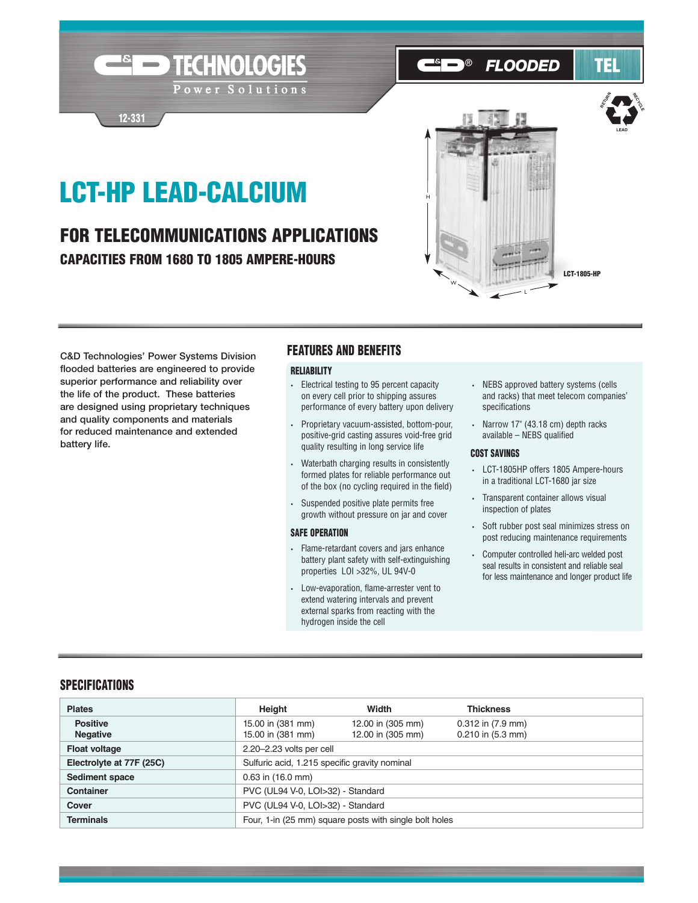# LCT-HP LEAD-CALCIUM

**Expediment TECHNOLOGIES** 

Power Solutions

12-331

# FOR TELECOMMUNICATIONS APPLICATIONS CAPACITIES FROM 1680 TO 1805 AMPERE-HOURS



**FLOODED** 

 $\overline{\circ}$ 

C&D Technologies' Power Systems Division flooded batteries are engineered to provide superior performance and reliability over the life of the product. These batteries are designed using proprietary techniques and quality components and materials for reduced maintenance and extended battery life.

## FEATURES AND BENEFITS

#### **RELIABILITY**

- Electrical testing to 95 percent capacity on every cell prior to shipping assures performance of every battery upon delivery
- Proprietary vacuum-assisted, bottom-pour, positive-grid casting assures void-free grid quality resulting in long service life
- Waterbath charging results in consistently formed plates for reliable performance out of the box (no cycling required in the field)
- Suspended positive plate permits free growth without pressure on jar and cover

#### SAFE OPERATION

- Flame-retardant covers and jars enhance battery plant safety with self-extinguishing properties LOI >32%, UL 94V-0
- Low-evaporation, flame-arrester vent to extend watering intervals and prevent external sparks from reacting with the hydrogen inside the cell

• NEBS approved battery systems (cells and racks) that meet telecom companies' specifications

**LEAD**

RECT<sub>OR</sub>

RETURN

TEI

• Narrow 17" (43.18 cm) depth racks available – NEBS qualified

#### COST SAVINGS

- LCT-1805HP offers 1805 Ampere-hours in a traditional LCT-1680 jar size
- Transparent container allows visual inspection of plates
- Soft rubber post seal minimizes stress on post reducing maintenance requirements
- Computer controlled heli-arc welded post seal results in consistent and reliable seal for less maintenance and longer product life

# **SPECIFICATIONS**

| <b>Plates</b>                      | Height                                                 | Width                                  | <b>Thickness</b>                               |  |  |  |  |
|------------------------------------|--------------------------------------------------------|----------------------------------------|------------------------------------------------|--|--|--|--|
| <b>Positive</b><br><b>Negative</b> | 15.00 in (381 mm)<br>15.00 in (381 mm)                 | 12.00 in (305 mm)<br>12.00 in (305 mm) | $0.312$ in $(7.9$ mm)<br>$0.210$ in $(5.3$ mm) |  |  |  |  |
| <b>Float voltage</b>               | 2.20-2.23 volts per cell                               |                                        |                                                |  |  |  |  |
| Electrolyte at 77F (25C)           | Sulfuric acid, 1.215 specific gravity nominal          |                                        |                                                |  |  |  |  |
| Sediment space                     | $0.63$ in $(16.0$ mm)                                  |                                        |                                                |  |  |  |  |
| <b>Container</b>                   | PVC (UL94 V-0, LOI>32) - Standard                      |                                        |                                                |  |  |  |  |
| Cover                              | PVC (UL94 V-0, LOI>32) - Standard                      |                                        |                                                |  |  |  |  |
| <b>Terminals</b>                   | Four, 1-in (25 mm) square posts with single bolt holes |                                        |                                                |  |  |  |  |